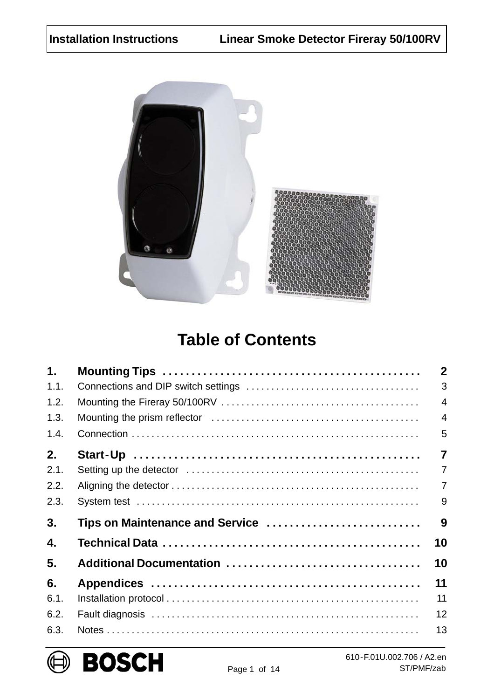<span id="page-0-0"></span>

# **Table of Contents**

| $\mathbf 1$ . |                                 | $\mathbf{2}$   |
|---------------|---------------------------------|----------------|
| 1.1.          |                                 | 3              |
| 1.2.          |                                 | $\overline{4}$ |
| 1.3.          |                                 | $\overline{4}$ |
| 1.4.          |                                 | 5              |
| 2.            |                                 | $\overline{7}$ |
| 2.1.          |                                 | $\overline{7}$ |
| 2.2.          |                                 | $\overline{7}$ |
| 2.3.          |                                 | 9              |
| 3.            | Tips on Maintenance and Service | 9              |
| 4.            |                                 | 10             |
| 5.            |                                 | 10             |
| 6.            |                                 | 11             |
| 6.1.          |                                 | 11             |
| 6.2.          |                                 | 12             |
| 6.3.          |                                 | 13             |

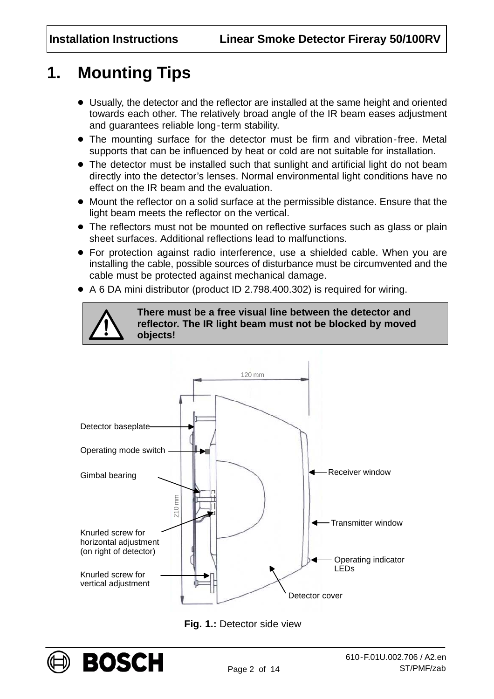# <span id="page-1-0"></span>**1. Mounting Tips**

- Usually, the detector and the reflector are installed at the same height and oriented towards each other. The relatively broad angle of the IR beam eases adjustment and guarantees reliable long-term stability.
- The mounting surface for the detector must be firm and vibration-free. Metal supports that can be influenced by heat or cold are not suitable for installation.
- The detector must be installed such that sunlight and artificial light do not beam directly into the detector's lenses. Normal environmental light conditions have no effect on the IR beam and the evaluation.
- Mount the reflector on a solid surface at the permissible distance. Ensure that the light beam meets the reflector on the vertical.
- The reflectors must not be mounted on reflective surfaces such as glass or plain sheet surfaces. Additional reflections lead to malfunctions.
- For protection against radio interference, use a shielded cable. When you are installing the cable, possible sources of disturbance must be circumvented and the cable must be protected against mechanical damage.
- A 6 DA mini distributor (product ID 2.798.400.302) is required for wiring.



**There must be a free visual line between the detector and reflector. The IR light beam must not be blocked by moved objects!**



**Fig. 1.:** Detector side view

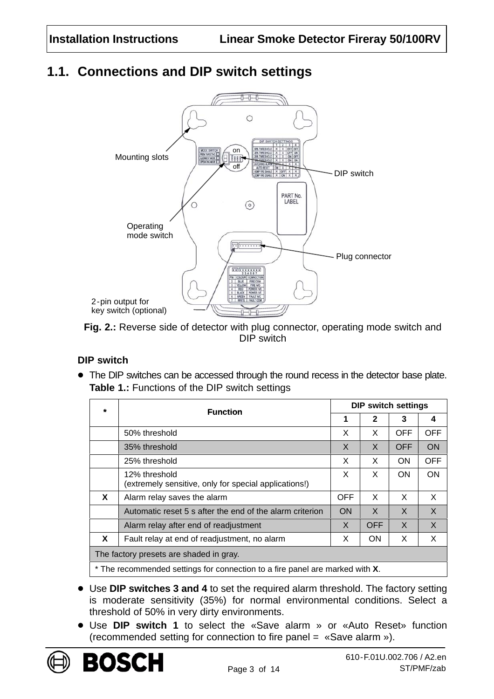### <span id="page-2-0"></span>**1.1. Connections and DIP switch settings**



**Fig. 2.:** Reverse side of detector with plug connector, operating mode switch and DIP switch

#### **DIP switch**

 The DIP switches can be accessed through the round recess in the detector base plate. **Table 1.:** Functions of the DIP switch settings

| ÷                                                                            | <b>Function</b>                                                        | <b>DIP switch settings</b> |              |            |            |  |
|------------------------------------------------------------------------------|------------------------------------------------------------------------|----------------------------|--------------|------------|------------|--|
|                                                                              |                                                                        | 1                          | $\mathbf{2}$ | 3          | 4          |  |
|                                                                              | 50% threshold                                                          | X                          | X            | <b>OFF</b> | <b>OFF</b> |  |
|                                                                              | 35% threshold                                                          | X                          | $\times$     | <b>OFF</b> | <b>ON</b>  |  |
|                                                                              | 25% threshold                                                          |                            | X            | ON         | <b>OFF</b> |  |
|                                                                              | 12% threshold<br>(extremely sensitive, only for special applications!) |                            | X            | ON.        | <b>ON</b>  |  |
| X                                                                            | Alarm relay saves the alarm                                            | <b>OFF</b>                 | X            | X          | X          |  |
|                                                                              | Automatic reset 5 s after the end of the alarm criterion               |                            | X            | X          | X          |  |
|                                                                              | Alarm relay after end of readjustment                                  |                            | <b>OFF</b>   | X          | X          |  |
| X                                                                            | Fault relay at end of readjustment, no alarm                           | X                          | <b>ON</b>    | X          | X          |  |
| The factory presets are shaded in gray.                                      |                                                                        |                            |              |            |            |  |
| * The recommended settings for connection to a fire panel are marked with X. |                                                                        |                            |              |            |            |  |

- Use **DIP switches 3 and 4** to set the required alarm threshold. The factory setting is moderate sensitivity (35%) for normal environmental conditions. Select a threshold of 50% in very dirty environments.
- Use **DIP switch 1** to select the «Save alarm » or «Auto Reset» function (recommended setting for connection to fire panel = «Save alarm »).

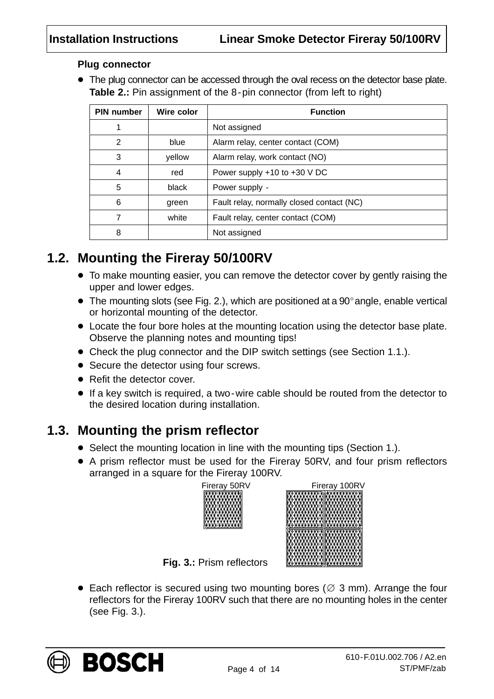#### **Plug connector**

• The plug connector can be accessed through the oval recess on the detector base plate. **Table 2.:** Pin assignment of the 8-pin connector (from left to right)

| <b>PIN number</b> | Wire color | <b>Function</b>                           |  |
|-------------------|------------|-------------------------------------------|--|
|                   |            | Not assigned                              |  |
| 2                 | blue       | Alarm relay, center contact (COM)         |  |
| 3                 | yellow     | Alarm relay, work contact (NO)            |  |
| 4                 | red        | Power supply +10 to +30 V DC              |  |
| 5                 | black      | Power supply -                            |  |
| 6                 | green      | Fault relay, normally closed contact (NC) |  |
| 7                 | white      | Fault relay, center contact (COM)         |  |
| 8                 |            | Not assigned                              |  |

### **1.2. Mounting the Fireray 50/100RV**

- To make mounting easier, you can remove the detector cover by gently raising the upper and lower edges.
- $\bullet$  The mounting slots (see Fig. [2.\)](#page-2-0), which are positioned at a 90 $^{\circ}$  angle, enable vertical or horizontal mounting of the detector.
- Locate the four bore holes at the mounting location using the detector base plate. Observe the planning notes and mounting tips!
- Check the plug connector and the DIP switch settings (see Section [1.1.\)](#page-2-0).
- Secure the detector using four screws.
- Refit the detector cover.
- If a key switch is required, a two-wire cable should be routed from the detector to the desired location during installation.

#### **1.3. Mounting the prism reflector**

- Select the mounting location in line with the mounting tips (Section [1.\)](#page-1-0).
- A prism reflector must be used for the Fireray 50RV, and four prism reflectors arranged in a square for the Fireray 100RV.

| Fireray 50RV |  |
|--------------|--|
|              |  |



**Fig. 3.: Prism reflectors** 

• Each reflector is secured using two mounting bores ( $\varnothing$  3 mm). Arrange the four reflectors for the Fireray 100RV such that there are no mounting holes in the center (see Fig. 3.).

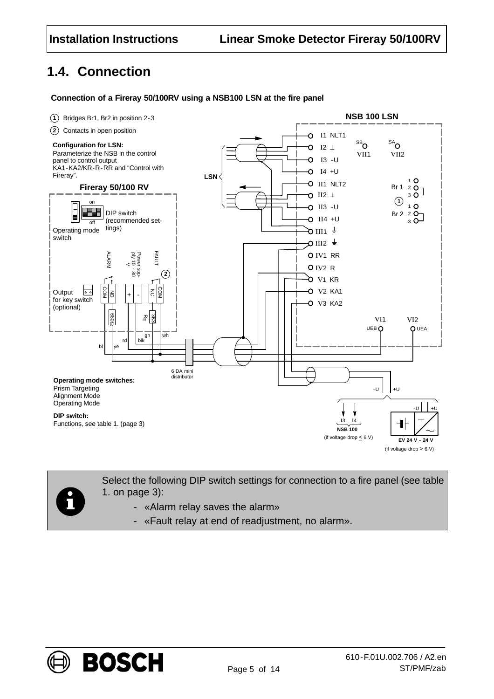### **1.4. Connection**

#### **Connection of a Fireray 50/100RV using a NSB100 LSN at the fire panel**





Select the following DIP switch settings for connection to a fire panel (see table [1.](#page-2-0) on page [3](#page-2-0)):

- «Alarm relay saves the alarm»
- «Fault relay at end of readjustment, no alarm».

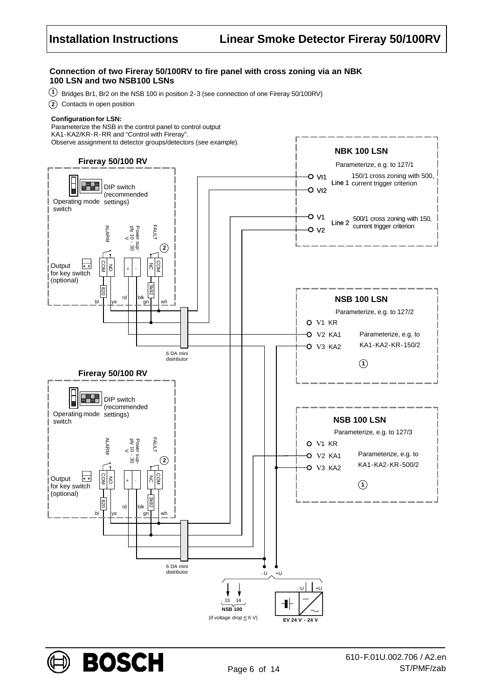#### **Connection of two Fireray 50/100RV to fire panel with cross zoning via an NBK 100 LSN and two NSB100 LSNs**

**1** Bridges Br1, Br2 on the NSB 100 in position 2-3 (see connection of one Fireray 50/100RV)

**2** Contacts in open position

#### **Configuration for LSN:**

Parameterize the NSB in the control panel to control output KA1-KA2/KR-R-RR and "Control with Fireray". Observe assignment to detector groups/detectors (see example).



**BOSCH**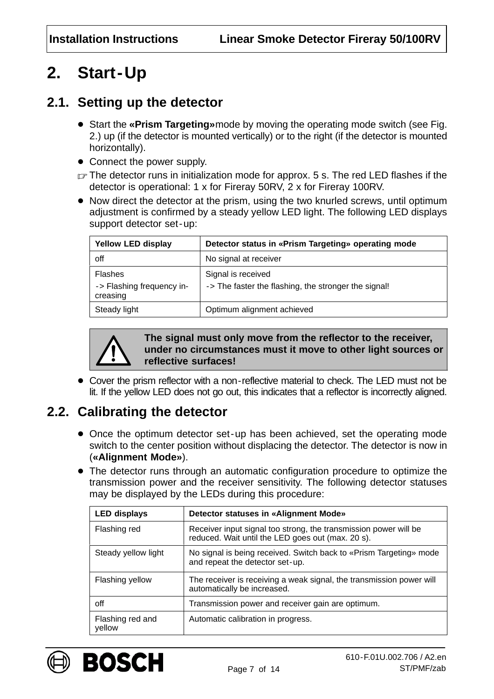# <span id="page-6-0"></span>**2. Start-Up**

### **2.1. Setting up the detector**

- Start the **«Prism Targeting»**mode by moving the operating mode switch (see Fig. [2.\)](#page-2-0) up (if the detector is mounted vertically) or to the right (if the detector is mounted horizontally).
- Connect the power supply.
- $\mathbb{F}$  The detector runs in initialization mode for approx. 5 s. The red LED flashes if the detector is operational: 1 x for Fireray 50RV, 2 x for Fireray 100RV.
- Now direct the detector at the prism, using the two knurled screws, until optimum adjustment is confirmed by a steady yellow LED light. The following LED displays support detector set-up:

| <b>Yellow LED display</b>                        | Detector status in «Prism Targeting» operating mode                        |
|--------------------------------------------------|----------------------------------------------------------------------------|
| off                                              | No signal at receiver                                                      |
| Flashes<br>-> Flashing frequency in-<br>creasing | Signal is received<br>-> The faster the flashing, the stronger the signal! |
| Steady light                                     | Optimum alignment achieved                                                 |



**The signal must only move from the reflector to the receiver, under no circumstances must it move to other light sources or reflective surfaces!**

 Cover the prism reflector with a non-reflective material to check. The LED must not be lit. If the yellow LED does not go out, this indicates that a reflector is incorrectly aligned.

### **2.2. Calibrating the detector**

- Once the optimum detector set-up has been achieved, set the operating mode switch to the center position without displacing the detector. The detector is now in (**«Alignment Mode»**).
- The detector runs through an automatic configuration procedure to optimize the transmission power and the receiver sensitivity. The following detector statuses may be displayed by the LEDs during this procedure:

| <b>LED displays</b>        | Detector statuses in «Alignment Mode»                                                                                 |  |  |  |
|----------------------------|-----------------------------------------------------------------------------------------------------------------------|--|--|--|
| Flashing red               | Receiver input signal too strong, the transmission power will be<br>reduced. Wait until the LED goes out (max. 20 s). |  |  |  |
| Steady yellow light        | No signal is being received. Switch back to «Prism Targeting» mode<br>and repeat the detector set-up.                 |  |  |  |
| Flashing yellow            | The receiver is receiving a weak signal, the transmission power will<br>automatically be increased.                   |  |  |  |
| off                        | Transmission power and receiver gain are optimum.                                                                     |  |  |  |
| Flashing red and<br>yellow | Automatic calibration in progress.                                                                                    |  |  |  |

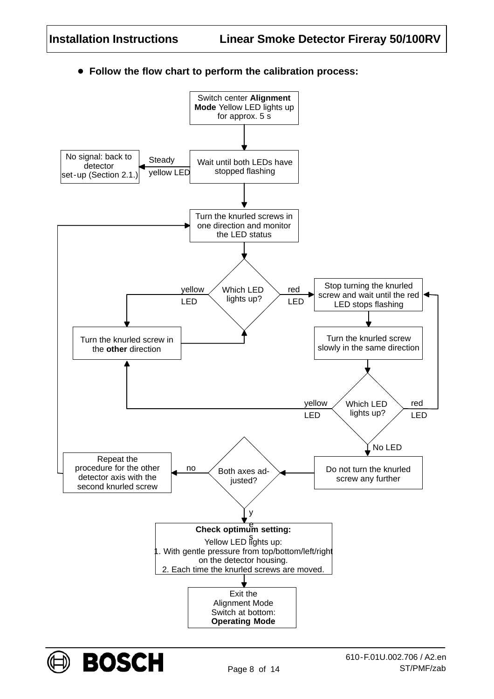

**Follow the flow chart to perform the calibration process:**

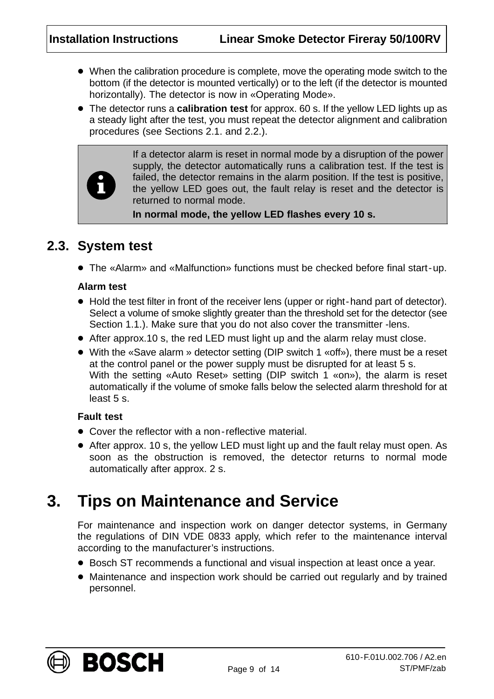- When the calibration procedure is complete, move the operating mode switch to the bottom (if the detector is mounted vertically) or to the left (if the detector is mounted horizontally). The detector is now in «Operating Mode».
- The detector runs a **calibration test** for approx. 60 s. If the yellow LED lights up as a steady light after the test, you must repeat the detector alignment and calibration procedures (see Sections [2.1.](#page-6-0) and [2.2.](#page-6-0)).



If a detector alarm is reset in normal mode by a disruption of the power supply, the detector automatically runs a calibration test. If the test is failed, the detector remains in the alarm position. If the test is positive, the yellow LED goes out, the fault relay is reset and the detector is returned to normal mode.

**In normal mode, the yellow LED flashes every 10 s.**

#### **2.3. System test**

The «Alarm» and «Malfunction» functions must be checked before final start-up.

#### **Alarm test**

- Hold the test filter in front of the receiver lens (upper or right-hand part of detector). Select a volume of smoke slightly greater than the threshold set for the detector (see Section [1.1.](#page-2-0)). Make sure that you do not also cover the transmitter -lens.
- After approx.10 s, the red LED must light up and the alarm relay must close.
- With the «Save alarm » detector setting (DIP switch 1 «off»), there must be a reset at the control panel or the power supply must be disrupted for at least 5 s. With the setting «Auto Reset» setting (DIP switch 1 «on»), the alarm is reset automatically if the volume of smoke falls below the selected alarm threshold for at least 5 s.

#### **Fault test**

- Cover the reflector with a non-reflective material.
- After approx. 10 s, the yellow LED must light up and the fault relay must open. As soon as the obstruction is removed, the detector returns to normal mode automatically after approx. 2 s.

# **3. Tips on Maintenance and Service**

For maintenance and inspection work on danger detector systems, in Germany the regulations of DIN VDE 0833 apply, which refer to the maintenance interval according to the manufacturer's instructions.

- Bosch ST recommends a functional and visual inspection at least once a year.
- Maintenance and inspection work should be carried out regularly and by trained personnel.

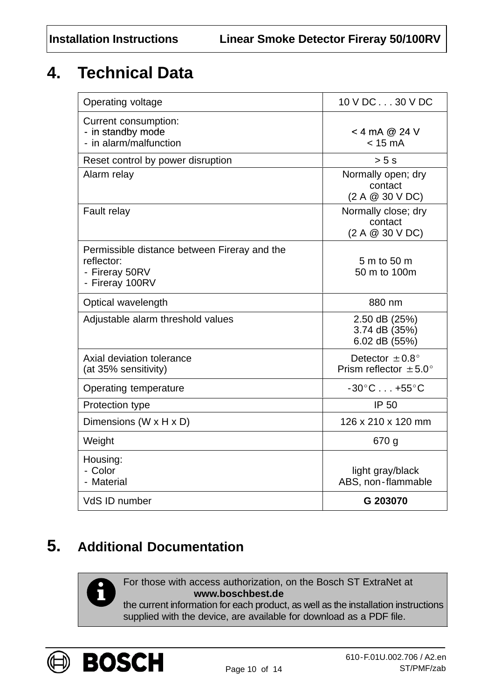# **4. Technical Data**

| Operating voltage                                                                               | 10 V DC30 V DC                                                  |
|-------------------------------------------------------------------------------------------------|-----------------------------------------------------------------|
| Current consumption:<br>- in standby mode<br>- in alarm/malfunction                             | $<$ 4 mA @ 24 V<br>$< 15 \text{ mA}$                            |
| Reset control by power disruption                                                               | > 5s                                                            |
| Alarm relay                                                                                     | Normally open; dry<br>contact<br>(2 A @ 30 V DC)                |
| Fault relay                                                                                     | Normally close; dry<br>contact<br>(2 A @ 30 V DC)               |
| Permissible distance between Fireray and the<br>reflector:<br>- Fireray 50RV<br>- Fireray 100RV | 5 m to 50 m<br>50 m to 100m                                     |
| Optical wavelength                                                                              | 880 nm                                                          |
| Adjustable alarm threshold values                                                               | 2.50 dB (25%)<br>3.74 dB (35%)<br>6.02 dB (55%)                 |
| Axial deviation tolerance<br>(at 35% sensitivity)                                               | Detector $\pm 0.8^{\circ}$<br>Prism reflector $\pm 5.0^{\circ}$ |
| Operating temperature                                                                           | $-30^{\circ}$ C $+55^{\circ}$ C                                 |
| Protection type                                                                                 | <b>IP 50</b>                                                    |
| Dimensions (W x H x D)                                                                          | 126 x 210 x 120 mm                                              |
| Weight                                                                                          | 670 g                                                           |
| Housing:<br>- Color<br>- Material                                                               | light gray/black<br>ABS, non-flammable                          |
| VdS ID number                                                                                   | G 203070                                                        |

# **5. Additional Documentation**

For those with access authorization, on the Bosch ST ExtraNet at **www.boschbest.de**

the current information for each product, as well as the installation instructions supplied with the device, are available for download as a PDF file.



Й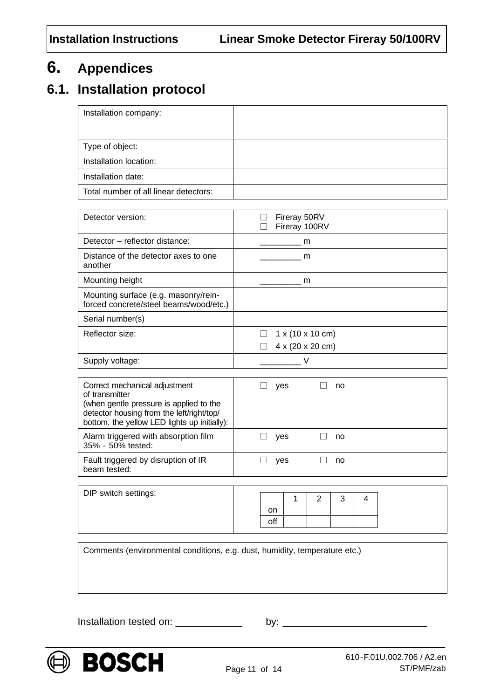# **6. Appendices**

### **6.1. Installation protocol**

| Installation company:                 |  |
|---------------------------------------|--|
|                                       |  |
| Type of object:                       |  |
| Installation location:                |  |
| Installation date:                    |  |
| Total number of all linear detectors: |  |

| Detector version:                                                              | Fireray 50RV<br>Fireray 100RV        |
|--------------------------------------------------------------------------------|--------------------------------------|
| Detector – reflector distance:                                                 | m                                    |
| Distance of the detector axes to one<br>another                                | m                                    |
| Mounting height                                                                | m                                    |
| Mounting surface (e.g. masonry/rein-<br>forced concrete/steel beams/wood/etc.) |                                      |
| Serial number(s)                                                               |                                      |
| Reflector size:                                                                | $1 \times (10 \times 10 \text{ cm})$ |
|                                                                                | $4 \times (20 \times 20 \text{ cm})$ |
| Supply voltage:                                                                |                                      |

| Correct mechanical adjustment<br>of transmitter<br>(when gentle pressure is applied to the<br>detector housing from the left/right/top/<br>bottom, the yellow LED lights up initially): | yes | no |  |
|-----------------------------------------------------------------------------------------------------------------------------------------------------------------------------------------|-----|----|--|
| Alarm triggered with absorption film<br>35% - 50% tested:                                                                                                                               | yes | no |  |
| Fault triggered by disruption of IR<br>beam tested:                                                                                                                                     | yes | no |  |

| DIP switch settings: |        |  |  |  |
|----------------------|--------|--|--|--|
|                      | on     |  |  |  |
|                      | <br>оn |  |  |  |
|                      |        |  |  |  |

Comments (environmental conditions, e.g. dust, humidity, temperature etc.)

Installation tested on:  $\frac{1}{2}$  by:  $\frac{1}{2}$ 

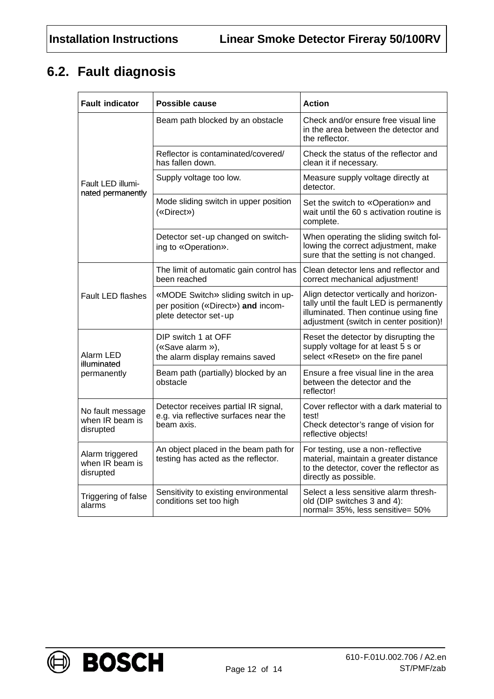## **6.2. Fault diagnosis**

| <b>Fault indicator</b>                           | Possible cause                                                                                     | <b>Action</b>                                                                                                                                                          |  |  |
|--------------------------------------------------|----------------------------------------------------------------------------------------------------|------------------------------------------------------------------------------------------------------------------------------------------------------------------------|--|--|
|                                                  | Beam path blocked by an obstacle                                                                   | Check and/or ensure free visual line<br>in the area between the detector and<br>the reflector.                                                                         |  |  |
|                                                  | Reflector is contaminated/covered/<br>has fallen down.                                             | Check the status of the reflector and<br>clean it if necessary.                                                                                                        |  |  |
| Fault LED illumi-<br>nated permanently           | Supply voltage too low.                                                                            | Measure supply voltage directly at<br>detector.                                                                                                                        |  |  |
|                                                  | Mode sliding switch in upper position<br>(«Direct»)                                                | Set the switch to «Operation» and<br>wait until the 60 s activation routine is<br>complete.                                                                            |  |  |
|                                                  | Detector set-up changed on switch-<br>ing to «Operation».                                          | When operating the sliding switch fol-<br>lowing the correct adjustment, make<br>sure that the setting is not changed.                                                 |  |  |
|                                                  | The limit of automatic gain control has<br>been reached                                            | Clean detector lens and reflector and<br>correct mechanical adjustment!                                                                                                |  |  |
| <b>Fault LED flashes</b>                         | «MODE Switch» sliding switch in up-<br>per position («Direct») and incom-<br>plete detector set-up | Align detector vertically and horizon-<br>tally until the fault LED is permanently<br>illuminated. Then continue using fine<br>adjustment (switch in center position)! |  |  |
| Alarm LED<br>illuminated                         | DIP switch 1 at OFF<br>(«Save alarm »),<br>the alarm display remains saved                         | Reset the detector by disrupting the<br>supply voltage for at least 5 s or<br>select «Reset» on the fire panel                                                         |  |  |
| permanently                                      | Beam path (partially) blocked by an<br>obstacle                                                    | Ensure a free visual line in the area<br>between the detector and the<br>reflector!                                                                                    |  |  |
| No fault message<br>when IR beam is<br>disrupted | Detector receives partial IR signal,<br>e.g. via reflective surfaces near the<br>beam axis.        | Cover reflector with a dark material to<br>test!<br>Check detector's range of vision for<br>reflective objects!                                                        |  |  |
| Alarm triggered<br>when IR beam is<br>disrupted  | An object placed in the beam path for<br>testing has acted as the reflector.                       | For testing, use a non-reflective<br>material, maintain a greater distance<br>to the detector, cover the reflector as<br>directly as possible.                         |  |  |
| Triggering of false<br>alarms                    | Sensitivity to existing environmental<br>conditions set too high                                   | Select a less sensitive alarm thresh-<br>old (DIP switches 3 and 4):<br>normal= 35%, less sensitive= 50%                                                               |  |  |



**BOSCH**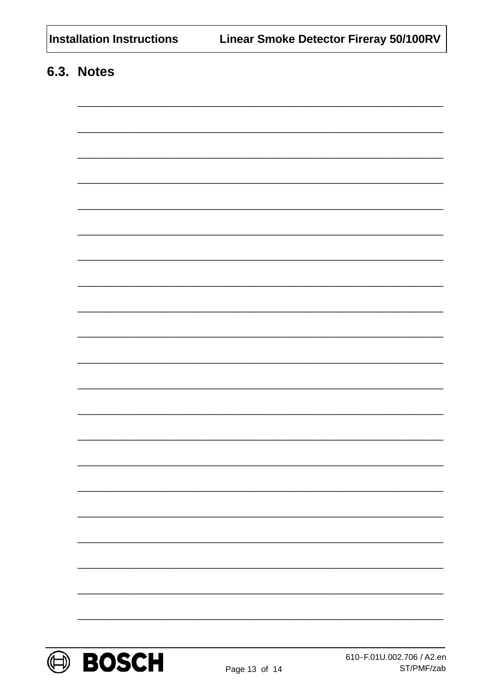| <b>Installation Instructions</b> |
|----------------------------------|
|                                  |

## 6.3. Notes